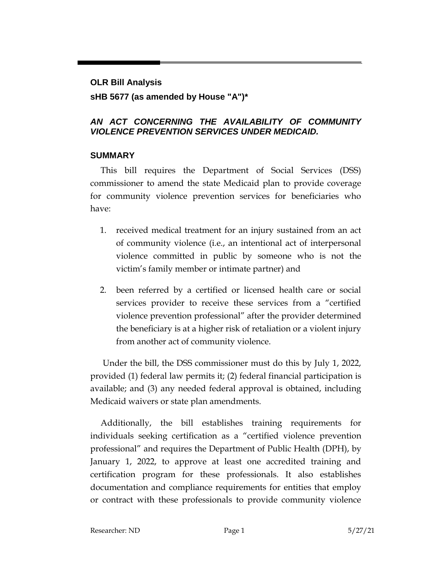# **OLR Bill Analysis sHB 5677 (as amended by House "A")\***

### *AN ACT CONCERNING THE AVAILABILITY OF COMMUNITY VIOLENCE PREVENTION SERVICES UNDER MEDICAID.*

### **SUMMARY**

This bill requires the Department of Social Services (DSS) commissioner to amend the state Medicaid plan to provide coverage for community violence prevention services for beneficiaries who have:

- 1. received medical treatment for an injury sustained from an act of community violence (i.e., an intentional act of interpersonal violence committed in public by someone who is not the victim's family member or intimate partner) and
- 2. been referred by a certified or licensed health care or social services provider to receive these services from a "certified violence prevention professional" after the provider determined the beneficiary is at a higher risk of retaliation or a violent injury from another act of community violence.

Under the bill, the DSS commissioner must do this by July 1, 2022, provided (1) federal law permits it; (2) federal financial participation is available; and (3) any needed federal approval is obtained, including Medicaid waivers or state plan amendments.

Additionally, the bill establishes training requirements for individuals seeking certification as a "certified violence prevention professional" and requires the Department of Public Health (DPH), by January 1, 2022, to approve at least one accredited training and certification program for these professionals. It also establishes documentation and compliance requirements for entities that employ or contract with these professionals to provide community violence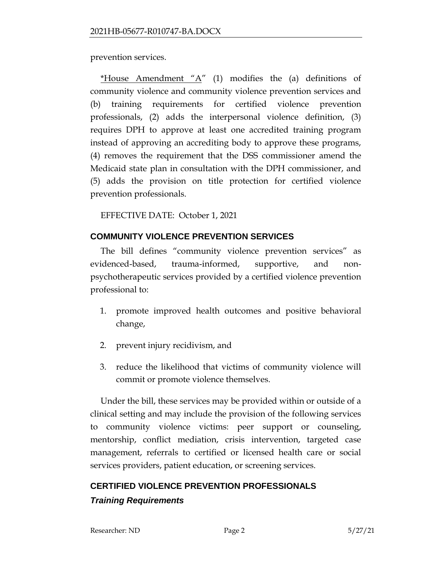prevention services.

\*House Amendment "A" (1) modifies the (a) definitions of community violence and community violence prevention services and (b) training requirements for certified violence prevention professionals, (2) adds the interpersonal violence definition, (3) requires DPH to approve at least one accredited training program instead of approving an accrediting body to approve these programs, (4) removes the requirement that the DSS commissioner amend the Medicaid state plan in consultation with the DPH commissioner, and (5) adds the provision on title protection for certified violence prevention professionals.

EFFECTIVE DATE: October 1, 2021

# **COMMUNITY VIOLENCE PREVENTION SERVICES**

The bill defines "community violence prevention services" as evidenced-based, trauma-informed, supportive, and nonpsychotherapeutic services provided by a certified violence prevention professional to:

- 1. promote improved health outcomes and positive behavioral change,
- 2. prevent injury recidivism, and
- 3. reduce the likelihood that victims of community violence will commit or promote violence themselves.

Under the bill, these services may be provided within or outside of a clinical setting and may include the provision of the following services to community violence victims: peer support or counseling, mentorship, conflict mediation, crisis intervention, targeted case management, referrals to certified or licensed health care or social services providers, patient education, or screening services.

### **CERTIFIED VIOLENCE PREVENTION PROFESSIONALS**

### *Training Requirements*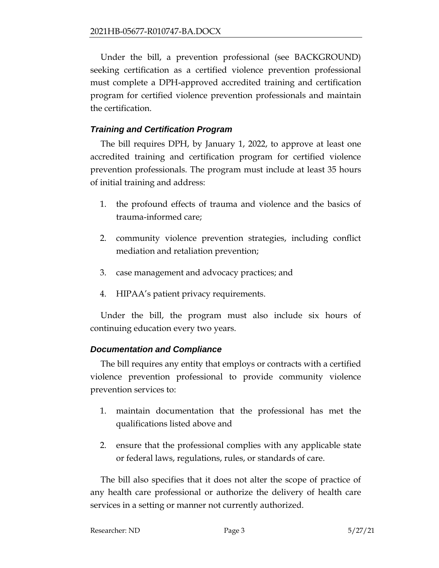Under the bill, a prevention professional (see BACKGROUND) seeking certification as a certified violence prevention professional must complete a DPH-approved accredited training and certification program for certified violence prevention professionals and maintain the certification.

### *Training and Certification Program*

The bill requires DPH, by January 1, 2022, to approve at least one accredited training and certification program for certified violence prevention professionals. The program must include at least 35 hours of initial training and address:

- 1. the profound effects of trauma and violence and the basics of trauma-informed care;
- 2. community violence prevention strategies, including conflict mediation and retaliation prevention;
- 3. case management and advocacy practices; and
- 4. HIPAA's patient privacy requirements.

Under the bill, the program must also include six hours of continuing education every two years.

### *Documentation and Compliance*

The bill requires any entity that employs or contracts with a certified violence prevention professional to provide community violence prevention services to:

- 1. maintain documentation that the professional has met the qualifications listed above and
- 2. ensure that the professional complies with any applicable state or federal laws, regulations, rules, or standards of care.

The bill also specifies that it does not alter the scope of practice of any health care professional or authorize the delivery of health care services in a setting or manner not currently authorized.

| Researcher: ND | Page 3 | 5/27/21 |
|----------------|--------|---------|
|                |        |         |